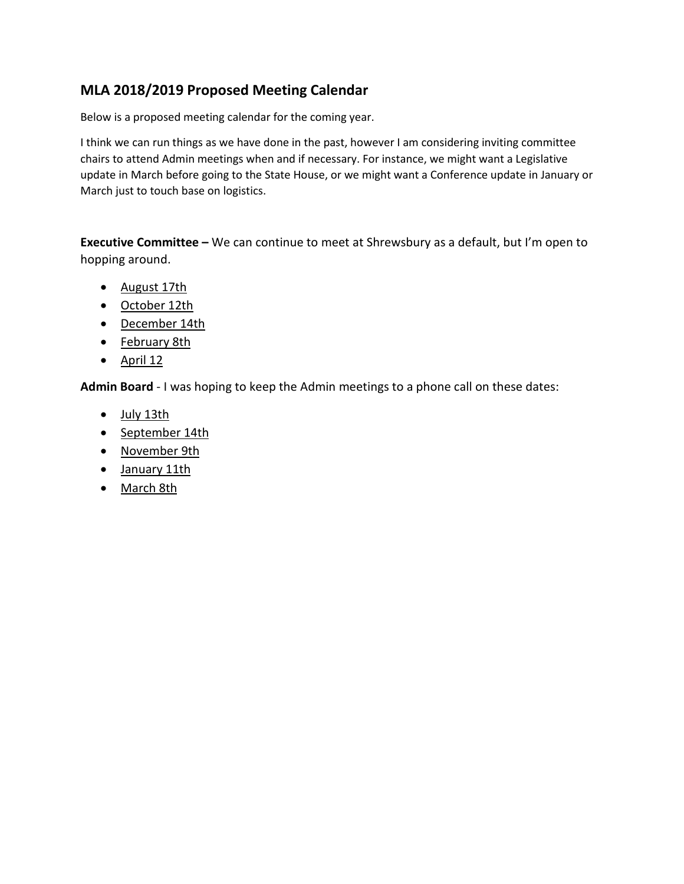## **MLA 2018/2019 Proposed Meeting Calendar**

Below is a proposed meeting calendar for the coming year.

I think we can run things as we have done in the past, however I am considering inviting committee chairs to attend Admin meetings when and if necessary. For instance, we might want a Legislative update in March before going to the State House, or we might want a Conference update in January or March just to touch base on logistics.

**Executive Committee –** We can continue to meet at Shrewsbury as a default, but I'm open to hopping around.

- August 17th
- October 12th
- December 14th
- February 8th
- $\bullet$  April 12

**Admin Board** - I was hoping to keep the Admin meetings to a phone call on these dates:

- July 13th
- September 14th
- November 9th
- January 11th
- March 8th